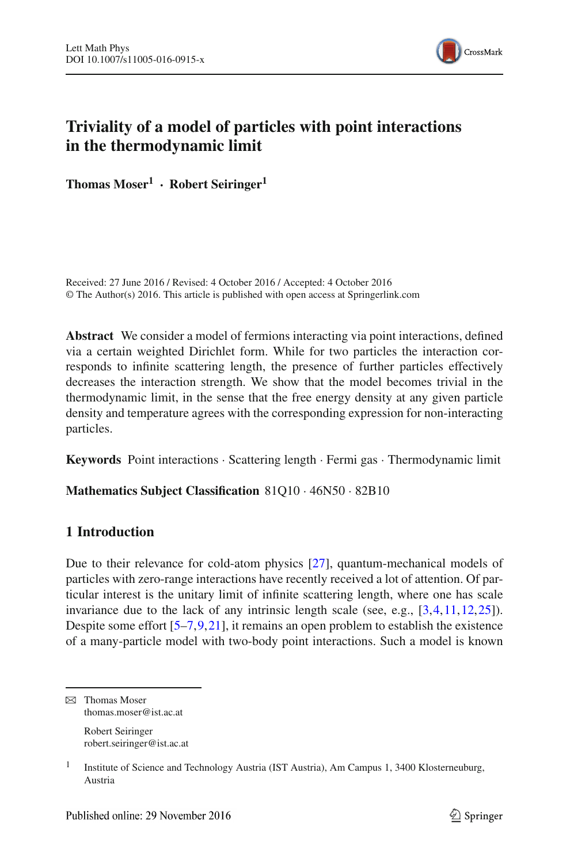

# **Triviality of a model of particles with point interactions in the thermodynamic limit**

**Thomas Moser1 · Robert Seiringer1**

Received: 27 June 2016 / Revised: 4 October 2016 / Accepted: 4 October 2016 © The Author(s) 2016. This article is published with open access at Springerlink.com

**Abstract** We consider a model of fermions interacting via point interactions, defined via a certain weighted Dirichlet form. While for two particles the interaction corresponds to infinite scattering length, the presence of further particles effectively decreases the interaction strength. We show that the model becomes trivial in the thermodynamic limit, in the sense that the free energy density at any given particle density and temperature agrees with the corresponding expression for non-interacting particles.

**Keywords** Point interactions · Scattering length · Fermi gas · Thermodynamic limit

# **Mathematics Subject Classification** 81Q10 · 46N50 · 82B10

# **1 Introduction**

Due to their relevance for cold-atom physics [\[27\]](#page-19-0), quantum-mechanical models of particles with zero-range interactions have recently received a lot of attention. Of particular interest is the unitary limit of infinite scattering length, where one has scale invariance due to the lack of any intrinsic length scale (see, e.g., [\[3](#page-19-1)[,4](#page-19-2),[11](#page-19-3),[12,](#page-19-4)[25\]](#page-19-5)). Despite some effort [\[5](#page-19-6)[–7](#page-19-7),[9,](#page-19-8)[21\]](#page-19-9), it remains an open problem to establish the existence of a many-particle model with two-body point interactions. Such a model is known

 $\boxtimes$  Thomas Moser thomas.moser@ist.ac.at

> Robert Seiringer robert.seiringer@ist.ac.at

<sup>&</sup>lt;sup>1</sup> Institute of Science and Technology Austria (IST Austria), Am Campus 1, 3400 Klosterneuburg, Austria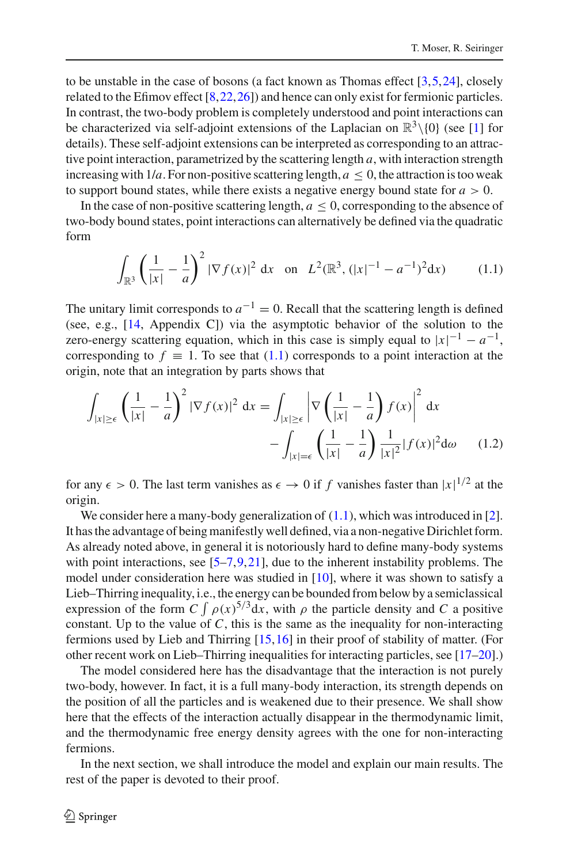to be unstable in the case of bosons (a fact known as Thomas effect  $[3,5,24]$  $[3,5,24]$  $[3,5,24]$  $[3,5,24]$ , closely related to the Efimov effect [\[8](#page-19-11),[22,](#page-19-12)[26\]](#page-19-13)) and hence can only exist for fermionic particles. In contrast, the two-body problem is completely understood and point interactions can be characterized via self-adjoint extensions of the Laplacian on  $\mathbb{R}^3\setminus\{0\}$  (see [\[1\]](#page-18-0) for details). These self-adjoint extensions can be interpreted as corresponding to an attractive point interaction, parametrized by the scattering length *a*, with interaction strength increasing with  $1/a$ . For non-positive scattering length,  $a \le 0$ , the attraction is too weak to support bound states, while there exists a negative energy bound state for  $a > 0$ .

In the case of non-positive scattering length,  $a \leq 0$ , corresponding to the absence of two-body bound states, point interactions can alternatively be defined via the quadratic form

$$
\int_{\mathbb{R}^3} \left( \frac{1}{|x|} - \frac{1}{a} \right)^2 |\nabla f(x)|^2 dx \quad \text{on} \quad L^2(\mathbb{R}^3, (|x|^{-1} - a^{-1})^2 dx) \tag{1.1}
$$

<span id="page-1-0"></span>The unitary limit corresponds to  $a^{-1} = 0$ . Recall that the scattering length is defined (see, e.g., [\[14](#page-19-14), Appendix C]) via the asymptotic behavior of the solution to the zero-energy scattering equation, which in this case is simply equal to  $|x|^{-1} - a^{-1}$ , corresponding to  $f \equiv 1$ . To see that [\(1.1\)](#page-1-0) corresponds to a point interaction at the origin, note that an integration by parts shows that

<span id="page-1-1"></span>
$$
\int_{|x|\geq \epsilon} \left(\frac{1}{|x|} - \frac{1}{a}\right)^2 |\nabla f(x)|^2 dx = \int_{|x|\geq \epsilon} \left|\nabla \left(\frac{1}{|x|} - \frac{1}{a}\right) f(x)\right|^2 dx
$$

$$
- \int_{|x| = \epsilon} \left(\frac{1}{|x|} - \frac{1}{a}\right) \frac{1}{|x|^2} |f(x)|^2 d\omega \qquad (1.2)
$$

for any  $\epsilon > 0$ . The last term vanishes as  $\epsilon \to 0$  if *f* vanishes faster than  $|x|^{1/2}$  at the origin.

We consider here a many-body generalization of  $(1.1)$ , which was introduced in [\[2](#page-18-1)]. It has the advantage of being manifestly well defined, via a non-negative Dirichlet form. As already noted above, in general it is notoriously hard to define many-body systems with point interactions, see  $[5-7, 9, 21]$  $[5-7, 9, 21]$ , due to the inherent instability problems. The model under consideration here was studied in [\[10\]](#page-19-15), where it was shown to satisfy a Lieb–Thirring inequality, i.e., the energy can be bounded from below by a semiclassical expression of the form  $C \int \rho(x)^{5/3} dx$ , with  $\rho$  the particle density and *C* a positive constant. Up to the value of *C*, this is the same as the inequality for non-interacting fermions used by Lieb and Thirring [\[15](#page-19-16),[16\]](#page-19-17) in their proof of stability of matter. (For other recent work on Lieb–Thirring inequalities for interacting particles, see [\[17](#page-19-18)[–20\]](#page-19-19).)

The model considered here has the disadvantage that the interaction is not purely two-body, however. In fact, it is a full many-body interaction, its strength depends on the position of all the particles and is weakened due to their presence. We shall show here that the effects of the interaction actually disappear in the thermodynamic limit, and the thermodynamic free energy density agrees with the one for non-interacting fermions.

In the next section, we shall introduce the model and explain our main results. The rest of the paper is devoted to their proof.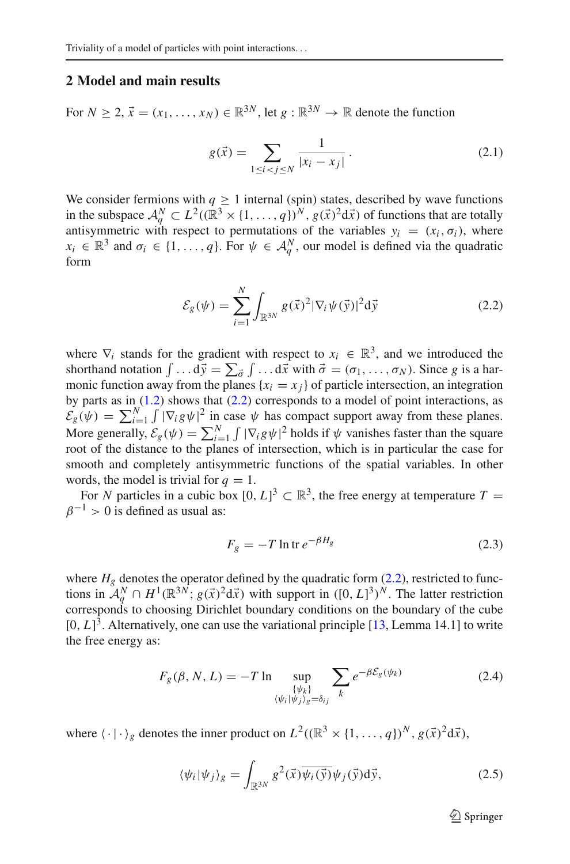### **2 Model and main results**

<span id="page-2-1"></span>For  $N > 2$ ,  $\vec{x} = (x_1, \ldots, x_N) \in \mathbb{R}^{3N}$ , let  $g : \mathbb{R}^{3N} \to \mathbb{R}$  denote the function

$$
g(\vec{x}) = \sum_{1 \le i < j \le N} \frac{1}{|x_i - x_j|} \,. \tag{2.1}
$$

We consider fermions with  $q \ge 1$  internal (spin) states, described by wave functions in the subspace  $A_q^N \subset L^2((\mathbb{R}^3 \times \{1, ..., q\})^N, g(\vec{x})^2 d\vec{x})$  of functions that are totally antisymmetric with respect to permutations of the variables  $y_i = (x_i, \sigma_i)$ , where  $x_i \in \mathbb{R}^3$  and  $\sigma_i \in \{1, \ldots, q\}$ . For  $\psi \in \mathcal{A}_q^N$ , our model is defined via the quadratic form

$$
\mathcal{E}_{g}(\psi) = \sum_{i=1}^{N} \int_{\mathbb{R}^{3N}} g(\vec{x})^2 |\nabla_i \psi(\vec{y})|^2 d\vec{y}
$$
 (2.2)

<span id="page-2-0"></span>where  $\nabla_i$  stands for the gradient with respect to  $x_i \in \mathbb{R}^3$ , and we introduced the shorthand notation  $\int \dots d\vec{y} = \sum_{\vec{\sigma}} \int \dots d\vec{x}$  with  $\vec{\sigma} = (\sigma_1, \dots, \sigma_N)$ . Since *g* is a harmonic function away from the planes  $\{x_i = x_j\}$  of particle intersection, an integration by parts as in  $(1.2)$  shows that  $(2.2)$  corresponds to a model of point interactions, as  $\mathcal{E}_g(\psi) = \sum_{i=1}^N \int |\nabla_i g \psi|^2$  in case  $\psi$  has compact support away from these planes. More generally,  $\mathcal{E}_g(\psi) = \sum_{i=1}^N \int |\nabla_i g \psi|^2$  holds if  $\psi$  vanishes faster than the square root of the distance to the planes of intersection, which is in particular the case for smooth and completely antisymmetric functions of the spatial variables. In other words, the model is trivial for  $q = 1$ .

For *N* particles in a cubic box  $[0, L]^3 \subset \mathbb{R}^3$ , the free energy at temperature  $T =$  $\beta^{-1} > 0$  is defined as usual as:

$$
F_g = -T \ln \text{tr} \, e^{-\beta H_g} \tag{2.3}
$$

where  $H_g$  denotes the operator defined by the quadratic form  $(2.2)$ , restricted to functions in  $\mathcal{A}_q^N \cap H^1(\mathbb{R}^{3N}; g(\vec{x})^2 d\vec{x})$  with support in  $([0, L]^3)^N$ . The latter restriction corresponds to choosing Dirichlet boundary conditions on the boundary of the cube  $[0, L]^3$ . Alternatively, one can use the variational principle  $[13,$  $[13,$  Lemma 14.1] to write the free energy as:

$$
F_g(\beta, N, L) = -T \ln \sup_{\{\psi_k\} \atop \langle \psi_i | \psi_j \rangle_g = \delta_{ij}} \sum_k e^{-\beta \mathcal{E}_g(\psi_k)} \tag{2.4}
$$

<span id="page-2-2"></span>where  $\langle \cdot | \cdot \rangle_g$  denotes the inner product on  $L^2((\mathbb{R}^3 \times \{1, ..., q\})^N, g(\vec{x})^2 d\vec{x})$ ,

$$
\langle \psi_i | \psi_j \rangle_g = \int_{\mathbb{R}^{3N}} g^2(\vec{x}) \overline{\psi_i(\vec{y})} \psi_j(\vec{y}) d\vec{y}, \tag{2.5}
$$

 $\mathcal{D}$  Springer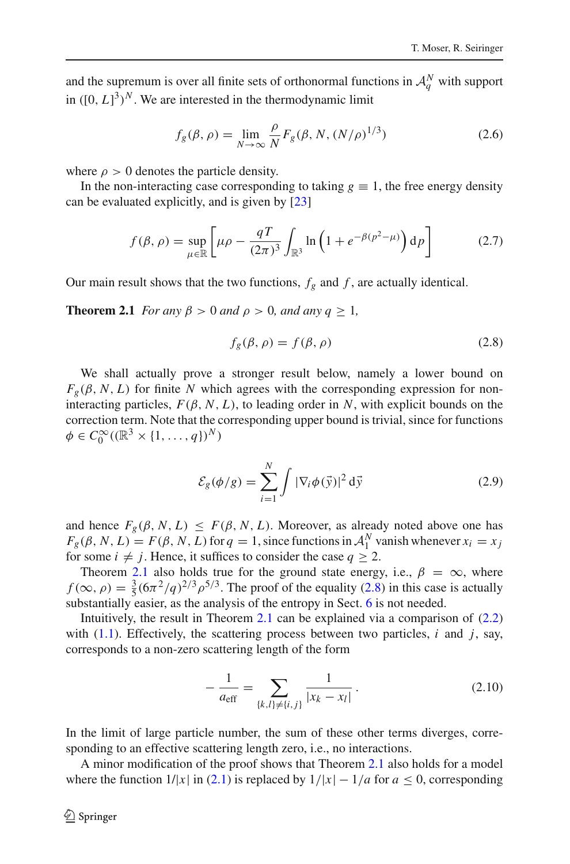and the supremum is over all finite sets of orthonormal functions in  $\mathcal{A}_q^N$  with support in  $([0, L]^3)^N$ . We are interested in the thermodynamic limit

$$
f_g(\beta, \rho) = \lim_{N \to \infty} \frac{\rho}{N} F_g(\beta, N, (N/\rho)^{1/3})
$$
 (2.6)

where  $\rho > 0$  denotes the particle density.

In the non-interacting case corresponding to taking  $g \equiv 1$ , the free energy density can be evaluated explicitly, and is given by [\[23\]](#page-19-21)

$$
f(\beta,\rho) = \sup_{\mu \in \mathbb{R}} \left[ \mu \rho - \frac{qT}{(2\pi)^3} \int_{\mathbb{R}^3} \ln \left( 1 + e^{-\beta(p^2 - \mu)} \right) \mathrm{d}p \right] \tag{2.7}
$$

<span id="page-3-2"></span><span id="page-3-0"></span>Our main result shows that the two functions,  $f_g$  and  $f$ , are actually identical.

<span id="page-3-1"></span>**Theorem 2.1** *For any*  $\beta > 0$  *and*  $\rho > 0$ *, and any*  $q \ge 1$ *,* 

$$
f_g(\beta, \rho) = f(\beta, \rho) \tag{2.8}
$$

We shall actually prove a stronger result below, namely a lower bound on  $F_g(\beta, N, L)$  for finite *N* which agrees with the corresponding expression for noninteracting particles,  $F(\beta, N, L)$ , to leading order in *N*, with explicit bounds on the correction term. Note that the corresponding upper bound is trivial, since for functions  $\phi \in C_0^{\infty}((\mathbb{R}^3 \times \{1, \ldots, q\})^N)$ 

$$
\mathcal{E}_g(\phi/g) = \sum_{i=1}^N \int |\nabla_i \phi(\vec{y})|^2 d\vec{y}
$$
 (2.9)

and hence  $F_g(\beta, N, L) \leq F(\beta, N, L)$ . Moreover, as already noted above one has  $F_g(\beta, N, L) = F(\beta, N, L)$  for  $q = 1$ , since functions in  $A_1^N$  vanish whenever  $x_i = x_j$ for some  $i \neq j$ . Hence, it suffices to consider the case  $q \geq 2$ .

Theorem [2.1](#page-3-0) also holds true for the ground state energy, i.e.,  $\beta = \infty$ , where  $f(\infty, \rho) = \frac{3}{5} (6\pi^2/q)^{2/3} \rho^{5/3}$ . The proof of the equality [\(2.8\)](#page-3-1) in this case is actually substantially easier, as the analysis of the entropy in Sect. [6](#page-12-0) is not needed.

Intuitively, the result in Theorem [2.1](#page-3-0) can be explained via a comparison of  $(2.2)$ with  $(1.1)$ . Effectively, the scattering process between two particles, *i* and *j*, say, corresponds to a non-zero scattering length of the form

$$
-\frac{1}{a_{\text{eff}}} = \sum_{\{k,l\} \neq \{i,j\}} \frac{1}{|x_k - x_l|}.
$$
 (2.10)

In the limit of large particle number, the sum of these other terms diverges, corresponding to an effective scattering length zero, i.e., no interactions.

A minor modification of the proof shows that Theorem [2.1](#page-3-0) also holds for a model where the function  $1/|x|$  in [\(2.1\)](#page-2-1) is replaced by  $1/|x| - 1/a$  for  $a \le 0$ , corresponding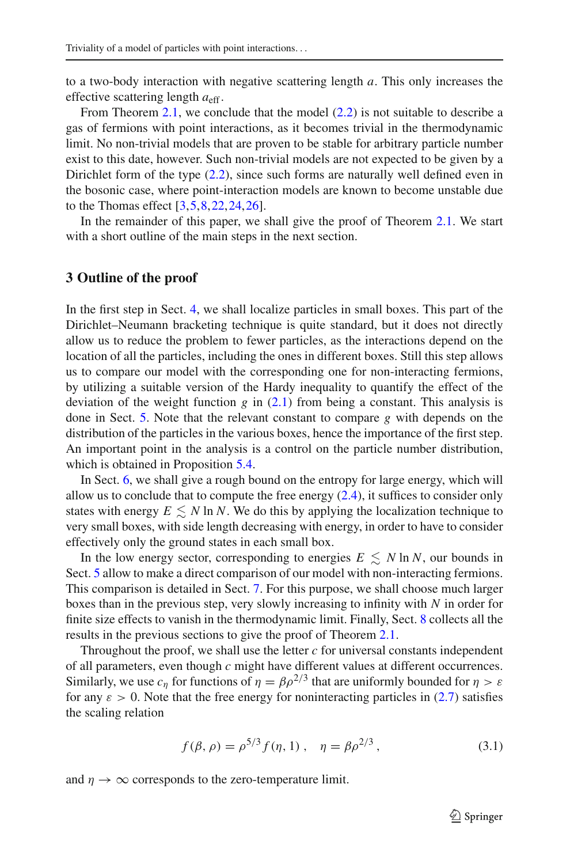to a two-body interaction with negative scattering length *a*. This only increases the effective scattering length  $a_{\text{eff}}$ .

From Theorem [2.1,](#page-3-0) we conclude that the model [\(2.2\)](#page-2-0) is not suitable to describe a gas of fermions with point interactions, as it becomes trivial in the thermodynamic limit. No non-trivial models that are proven to be stable for arbitrary particle number exist to this date, however. Such non-trivial models are not expected to be given by a Dirichlet form of the type  $(2.2)$ , since such forms are naturally well defined even in the bosonic case, where point-interaction models are known to become unstable due to the Thomas effect  $[3, 5, 8, 22, 24, 26]$  $[3, 5, 8, 22, 24, 26]$  $[3, 5, 8, 22, 24, 26]$  $[3, 5, 8, 22, 24, 26]$  $[3, 5, 8, 22, 24, 26]$  $[3, 5, 8, 22, 24, 26]$  $[3, 5, 8, 22, 24, 26]$ .

In the remainder of this paper, we shall give the proof of Theorem [2.1.](#page-3-0) We start with a short outline of the main steps in the next section.

#### **3 Outline of the proof**

In the first step in Sect. [4,](#page-5-0) we shall localize particles in small boxes. This part of the Dirichlet–Neumann bracketing technique is quite standard, but it does not directly allow us to reduce the problem to fewer particles, as the interactions depend on the location of all the particles, including the ones in different boxes. Still this step allows us to compare our model with the corresponding one for non-interacting fermions, by utilizing a suitable version of the Hardy inequality to quantify the effect of the deviation of the weight function *g* in [\(2.1\)](#page-2-1) from being a constant. This analysis is done in Sect. [5.](#page-6-0) Note that the relevant constant to compare *g* with depends on the distribution of the particles in the various boxes, hence the importance of the first step. An important point in the analysis is a control on the particle number distribution, which is obtained in Proposition [5.4.](#page-10-0)

In Sect. [6,](#page-12-0) we shall give a rough bound on the entropy for large energy, which will allow us to conclude that to compute the free energy  $(2.4)$ , it suffices to consider only states with energy  $E \lesssim N \ln N$ . We do this by applying the localization technique to very small boxes, with side length decreasing with energy, in order to have to consider effectively only the ground states in each small box.

In the low energy sector, corresponding to energies  $E \lesssim N \ln N$ , our bounds in Sect. [5](#page-6-0) allow to make a direct comparison of our model with non-interacting fermions. This comparison is detailed in Sect. [7.](#page-14-0) For this purpose, we shall choose much larger boxes than in the previous step, very slowly increasing to infinity with *N* in order for finite size effects to vanish in the thermodynamic limit. Finally, Sect. [8](#page-17-0) collects all the results in the previous sections to give the proof of Theorem [2.1.](#page-3-0)

Throughout the proof, we shall use the letter *c* for universal constants independent of all parameters, even though *c* might have different values at different occurrences. Similarly, we use  $c_n$  for functions of  $\eta = \beta \rho^{2/3}$  that are uniformly bounded for  $\eta > \varepsilon$ for any  $\varepsilon > 0$ . Note that the free energy for noninteracting particles in [\(2.7\)](#page-3-2) satisfies the scaling relation

$$
f(\beta, \rho) = \rho^{5/3} f(\eta, 1) , \quad \eta = \beta \rho^{2/3} , \tag{3.1}
$$

and  $\eta \rightarrow \infty$  corresponds to the zero-temperature limit.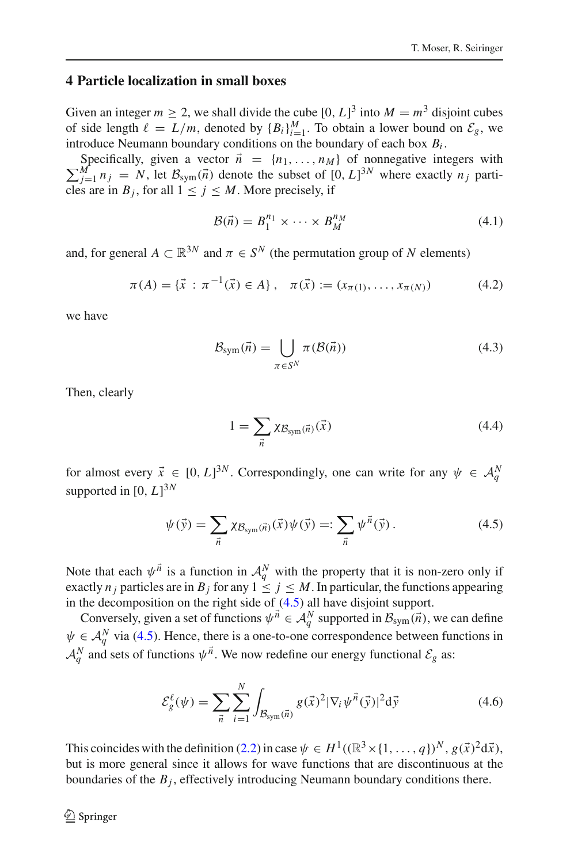# <span id="page-5-0"></span>**4 Particle localization in small boxes**

Given an integer  $m \ge 2$ , we shall divide the cube  $[0, L]^3$  into  $M = m^3$  disjoint cubes of side length  $\ell = L/m$ , denoted by  ${B_i}_{i=1}^M$ . To obtain a lower bound on  $\mathcal{E}_g$ , we introduce Neumann boundary conditions on the boundary of each box *Bi* .

 $\sum_{j=1}^{M} n_j = N$ , let  $B_{sym}(\vec{n})$  denote the subset of  $[0, L]^{3N}$  where exactly  $n_j$  parti-Specifically, given a vector  $\vec{n} = \{n_1, \ldots, n_M\}$  of nonnegative integers with cles are in  $B_j$ , for all  $1 \leq j \leq M$ . More precisely, if

$$
\mathcal{B}(\vec{n}) = B_1^{n_1} \times \cdots \times B_M^{n_M} \tag{4.1}
$$

<span id="page-5-3"></span>and, for general  $A \subset \mathbb{R}^{3N}$  and  $\pi \in S^N$  (the permutation group of N elements)

$$
\pi(A) = \{\vec{x} : \pi^{-1}(\vec{x}) \in A\}, \quad \pi(\vec{x}) := (x_{\pi(1)}, \dots, x_{\pi(N)})
$$
(4.2)

we have

$$
\mathcal{B}_{\text{sym}}(\vec{n}) = \bigcup_{\pi \in S^N} \pi(\mathcal{B}(\vec{n})) \tag{4.3}
$$

Then, clearly

$$
1 = \sum_{\vec{n}} \chi_{\mathcal{B}_{sym}(\vec{n})}(\vec{x}) \tag{4.4}
$$

for almost every  $\vec{x} \in [0, L]^{3N}$ . Correspondingly, one can write for any  $\psi \in A_q^N$ supported in  $[0, L]^{3N}$ 

$$
\psi(\vec{y}) = \sum_{\vec{n}} \chi_{\mathcal{B}_{sym}(\vec{n})}(\vec{x}) \psi(\vec{y}) =: \sum_{\vec{n}} \psi^{\vec{n}}(\vec{y}). \tag{4.5}
$$

<span id="page-5-1"></span>Note that each  $\psi^{\vec{n}}$  is a function in  $\mathcal{A}_q^N$  with the property that it is non-zero only if exactly  $n_j$  particles are in  $B_j$  for any  $1 \leq j \leq M$ . In particular, the functions appearing in the decomposition on the right side of [\(4.5\)](#page-5-1) all have disjoint support.

Conversely, given a set of functions  $\psi^{\vec{n}} \in A_q^N$  supported in  $\mathcal{B}_{sym}(\vec{n})$ , we can define  $\psi \in \mathcal{A}_q^N$  via [\(4.5\)](#page-5-1). Hence, there is a one-to-one correspondence between functions in  $A_q^N$  and sets of functions  $\psi^{\vec{n}}$ . We now redefine our energy functional  $\mathcal{E}_g$  as:

$$
\mathcal{E}_{g}^{\ell}(\psi) = \sum_{\vec{n}} \sum_{i=1}^{N} \int_{\mathcal{B}_{sym}(\vec{n})} g(\vec{x})^{2} |\nabla_{i} \psi^{\vec{n}}(\vec{y})|^{2} d\vec{y}
$$
(4.6)

<span id="page-5-2"></span>This coincides with the definition [\(2.2\)](#page-2-0) in case  $\psi \in H^1((\mathbb{R}^3 \times \{1,\ldots,q\})^N, g(\vec{x})^2 d\vec{x})$ , but is more general since it allows for wave functions that are discontinuous at the boundaries of the  $B_i$ , effectively introducing Neumann boundary conditions there.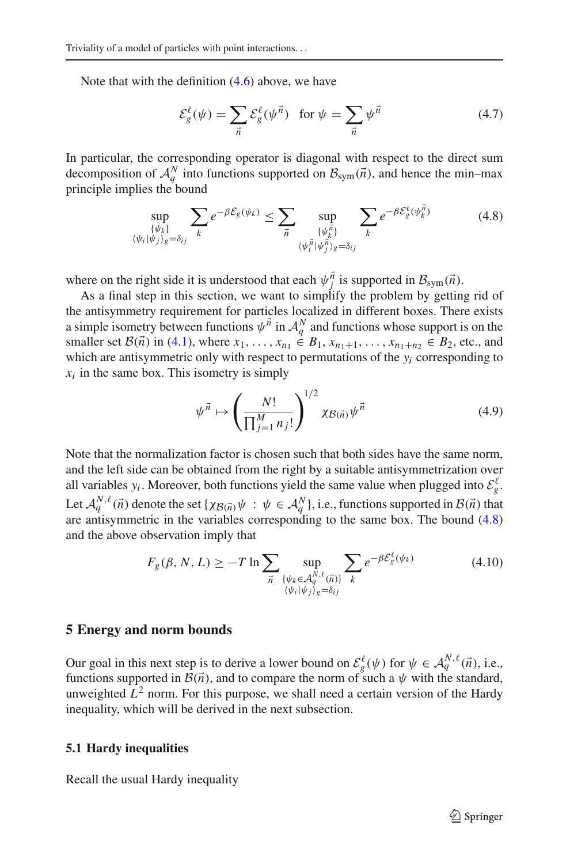Note that with the definition  $(4.6)$  above, we have

$$
\mathcal{E}_{g}^{\ell}(\psi) = \sum_{\vec{n}} \mathcal{E}_{g}^{\ell}(\psi^{\vec{n}}) \quad \text{for } \psi = \sum_{\vec{n}} \psi^{\vec{n}} \tag{4.7}
$$

<span id="page-6-1"></span>In particular, the corresponding operator is diagonal with respect to the direct sum decomposition of  $A_q^N$  into functions supported on  $B_{sym}(\vec{n})$ , and hence the min–max principle implies the bound

$$
\sup_{\{\psi_k\}\atop{\langle\psi_i|\psi_j\rangle_g=\delta_{ij}}}\sum_k e^{-\beta \mathcal{E}_g(\psi_k)} \leq \sum_{\vec{n}} \sup_{\{\psi_{\vec{k}}^{\vec{n}}\}\atop{\langle\psi_i^{\vec{n}}|\psi_j^{\vec{n}}\rangle_g=\delta_{ij}}}\sum_k e^{-\beta \mathcal{E}_g^{\ell}(\psi_{\vec{k}}^{\vec{n}})} \tag{4.8}
$$

where on the right side it is understood that each  $\psi_j^n$  is supported in  $\mathcal{B}_{sym}(\vec{n})$ .

As a final step in this section, we want to simplify the problem by getting rid of the antisymmetry requirement for particles localized in different boxes. There exists a simple isometry between functions  $\psi^{\vec{n}}$  in  $\mathcal{A}_q^N$  and functions whose support is on the smaller set  $\mathcal{B}(\vec{n})$  in [\(4.1\)](#page-5-3), where  $x_1, \ldots, x_{n_1} \in B_1, x_{n_1+1}, \ldots, x_{n_1+n_2} \in B_2$ , etc., and which are antisymmetric only with respect to permutations of the  $y_i$  corresponding to  $x_i$  in the same box. This isometry is simply

$$
\psi^{\vec{n}} \mapsto \left(\frac{N!}{\prod_{j=1}^{M} n_j!}\right)^{1/2} \chi_{\mathcal{B}(\vec{n})} \psi^{\vec{n}} \tag{4.9}
$$

Note that the normalization factor is chosen such that both sides have the same norm, and the left side can be obtained from the right by a suitable antisymmetrization over all variables  $y_i$ . Moreover, both functions yield the same value when plugged into  $\mathcal{E}_g^{\ell}$ . Let  $\mathcal{A}_q^{N,\ell}(\vec{n})$  denote the set  $\{\chi_{\mathcal{B}(\vec{n})}\psi : \psi \in \mathcal{A}_q^N\}$ , i.e., functions supported in  $\mathcal{B}(\vec{n})$  that are antisymmetric in the variables corresponding to the same box. The bound [\(4.8\)](#page-6-1) and the above observation imply that

$$
F_g(\beta, N, L) \ge -T \ln \sum_{\vec{n}} \sup_{\{\psi_k \in \mathcal{A}_q^{N,\ell}(\vec{n})\} \atop \langle \psi_i | \psi_j \rangle_g = \delta_{ij}} \sum_k e^{-\beta \mathcal{E}_g^{\ell}(\psi_k)} \tag{4.10}
$$

### <span id="page-6-2"></span><span id="page-6-0"></span>**5 Energy and norm bounds**

Our goal in this next step is to derive a lower bound on  $\mathcal{E}_{g}^{\ell}(\psi)$  for  $\psi \in \mathcal{A}_{q}^{N,\ell}(\vec{n})$ , i.e., functions supported in  $\mathcal{B}(\vec{n})$ , and to compare the norm of such a  $\psi$  with the standard, unweighted  $\hat{L}^2$  norm. For this purpose, we shall need a certain version of the Hardy inequality, which will be derived in the next subsection.

#### **5.1 Hardy inequalities**

Recall the usual Hardy inequality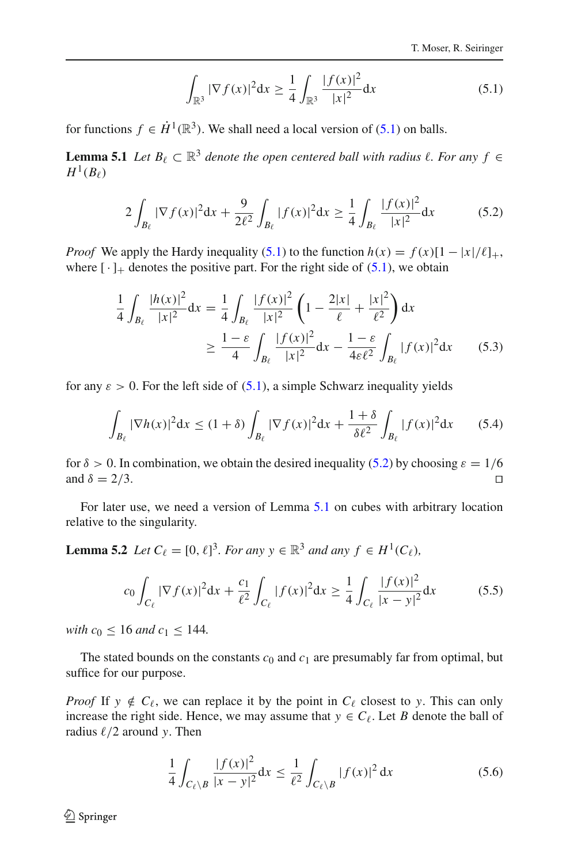$$
\int_{\mathbb{R}^3} |\nabla f(x)|^2 dx \ge \frac{1}{4} \int_{\mathbb{R}^3} \frac{|f(x)|^2}{|x|^2} dx
$$
\n(5.1)

<span id="page-7-2"></span><span id="page-7-0"></span>for functions  $f \in \dot{H}^1(\mathbb{R}^3)$ . We shall need a local version of [\(5.1\)](#page-7-0) on balls.

**Lemma 5.1** *Let*  $B_\ell \subset \mathbb{R}^3$  *denote the open centered ball with radius*  $\ell$ *. For any*  $f \in$  $H^1(B_\ell)$ 

$$
2\int_{B_{\ell}} |\nabla f(x)|^2 dx + \frac{9}{2\ell^2} \int_{B_{\ell}} |f(x)|^2 dx \ge \frac{1}{4} \int_{B_{\ell}} \frac{|f(x)|^2}{|x|^2} dx \tag{5.2}
$$

<span id="page-7-1"></span>*Proof* We apply the Hardy inequality [\(5.1\)](#page-7-0) to the function  $h(x) = f(x)[1 - |x|/\ell]_+$ , where  $[\cdot]_+$  denotes the positive part. For the right side of [\(5.1\)](#page-7-0), we obtain

$$
\frac{1}{4} \int_{B_{\ell}} \frac{|h(x)|^2}{|x|^2} dx = \frac{1}{4} \int_{B_{\ell}} \frac{|f(x)|^2}{|x|^2} \left(1 - \frac{2|x|}{\ell} + \frac{|x|^2}{\ell^2}\right) dx
$$

$$
\geq \frac{1 - \varepsilon}{4} \int_{B_{\ell}} \frac{|f(x)|^2}{|x|^2} dx - \frac{1 - \varepsilon}{4\varepsilon \ell^2} \int_{B_{\ell}} |f(x)|^2 dx \qquad (5.3)
$$

for any  $\varepsilon > 0$ . For the left side of [\(5.1\)](#page-7-0), a simple Schwarz inequality yields

$$
\int_{B_{\ell}} |\nabla h(x)|^2 dx \le (1+\delta) \int_{B_{\ell}} |\nabla f(x)|^2 dx + \frac{1+\delta}{\delta \ell^2} \int_{B_{\ell}} |f(x)|^2 dx \qquad (5.4)
$$

for  $\delta > 0$ . In combination, we obtain the desired inequality [\(5.2\)](#page-7-1) by choosing  $\varepsilon = 1/6$  and  $\delta = 2/3$ . and  $\delta = 2/3$ .

<span id="page-7-3"></span>For later use, we need a version of Lemma [5.1](#page-7-2) on cubes with arbitrary location relative to the singularity.

**Lemma 5.2** *Let*  $C_{\ell} = [0, \ell]^3$ *. For any*  $y \in \mathbb{R}^3$  *and any*  $f \in H^1(C_{\ell})$ *,* 

$$
c_0 \int_{C_\ell} |\nabla f(x)|^2 dx + \frac{c_1}{\ell^2} \int_{C_\ell} |f(x)|^2 dx \ge \frac{1}{4} \int_{C_\ell} \frac{|f(x)|^2}{|x - y|^2} dx \tag{5.5}
$$

<span id="page-7-5"></span>*with*  $c_0 \leq 16$  *and*  $c_1 \leq 144$ *.* 

The stated bounds on the constants  $c_0$  and  $c_1$  are presumably far from optimal, but suffice for our purpose.

<span id="page-7-4"></span>*Proof* If  $y \notin C_\ell$ , we can replace it by the point in  $C_\ell$  closest to *y*. This can only increase the right side. Hence, we may assume that  $y \in C_\ell$ . Let *B* denote the ball of radius  $\ell/2$  around *y*. Then

$$
\frac{1}{4} \int_{C_{\ell} \setminus B} \frac{|f(x)|^2}{|x - y|^2} dx \le \frac{1}{\ell^2} \int_{C_{\ell} \setminus B} |f(x)|^2 dx \tag{5.6}
$$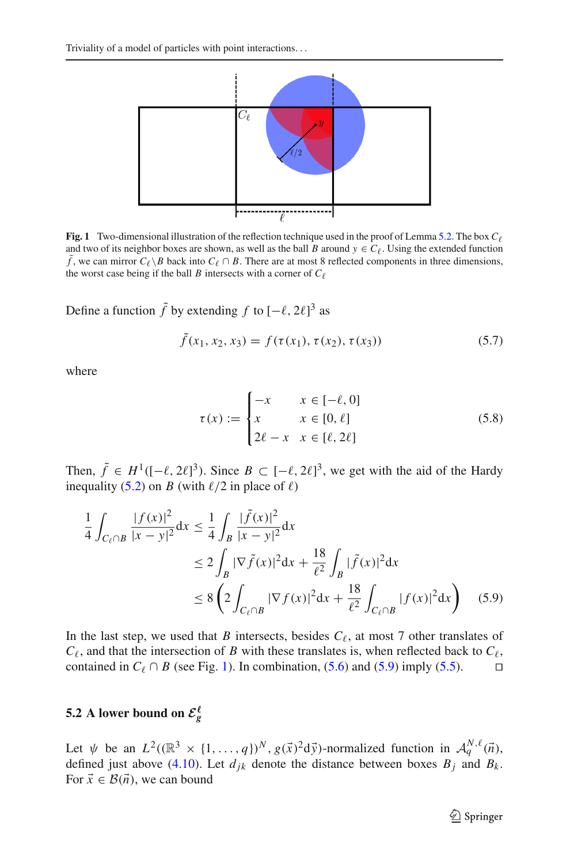

<span id="page-8-0"></span>**Fig. 1** Two-dimensional illustration of the reflection technique used in the proof of Lemma [5.2.](#page-7-3) The box  $C_{\ell}$  and two of its neighbor boxes are shown, as well as the ball *B* around  $y \in C_{\ell}$ . Using the extended func  $\tilde{f}$ , we can mirror  $C_{\ell} \setminus B$  back into  $C_{\ell} \cap B$ . There are at most 8 reflected components in three dimensions, the worst case being if the ball *B* intersects with a corner of  $C_{\ell}$ 

Define a function  $\tilde{f}$  by extending  $f$  to  $[-\ell, 2\ell]^3$  as

$$
\tilde{f}(x_1, x_2, x_3) = f(\tau(x_1), \tau(x_2), \tau(x_3))
$$
\n(5.7)

where

<span id="page-8-1"></span>
$$
\tau(x) := \begin{cases}\n-x & x \in [-\ell, 0] \\
x & x \in [0, \ell] \\
2\ell - x & x \in [\ell, 2\ell]\n\end{cases}
$$
\n(5.8)

Then,  $\tilde{f} \in H^1([-\ell, 2\ell]^3)$ . Since  $B \subset [-\ell, 2\ell]^3$ , we get with the aid of the Hardy inequality [\(5.2\)](#page-7-1) on *B* (with  $\ell/2$  in place of  $\ell$ )

$$
\frac{1}{4} \int_{C_{\ell} \cap B} \frac{|f(x)|^2}{|x - y|^2} dx \le \frac{1}{4} \int_{B} \frac{|\tilde{f}(x)|^2}{|x - y|^2} dx
$$
  
\n
$$
\le 2 \int_{B} |\nabla \tilde{f}(x)|^2 dx + \frac{18}{\ell^2} \int_{B} |\tilde{f}(x)|^2 dx
$$
  
\n
$$
\le 8 \left( 2 \int_{C_{\ell} \cap B} |\nabla f(x)|^2 dx + \frac{18}{\ell^2} \int_{C_{\ell} \cap B} |f(x)|^2 dx \right) (5.9)
$$

In the last step, we used that *B* intersects, besides  $C_{\ell}$ , at most 7 other translates of  $C_{\ell}$ , and that the intersection of *B* with these translates is, when reflected back to  $C_{\ell}$ , contained in  $C_\ell \cap B$  (see Fig. [1\)](#page-8-0). In combination, [\(5.6\)](#page-7-4) and [\(5.9\)](#page-8-1) imply [\(5.5\)](#page-7-5).

# **5.2** A lower bound on  $\mathcal{E}_{g}^{\ell}$

Let  $\psi$  be an  $L^2((\mathbb{R}^3 \times \{1, ..., q\})^N, g(\vec{x})^2 d\vec{y})$ -normalized function in  $\mathcal{A}_q^{N,\ell}(\vec{n})$ , defined just above [\(4.10\)](#page-6-2). Let  $d_{jk}$  denote the distance between boxes  $B_j$  and  $B_k$ . For  $\vec{x} \in \mathcal{B}(\vec{n})$ , we can bound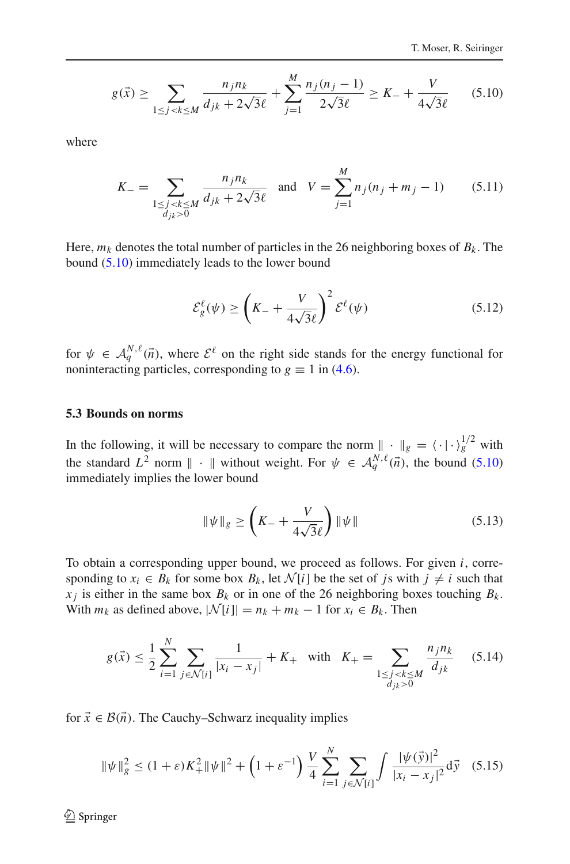$$
g(\vec{x}) \ge \sum_{1 \le j < k \le M} \frac{n_j n_k}{d_{jk} + 2\sqrt{3}\ell} + \sum_{j=1}^{M} \frac{n_j(n_j - 1)}{2\sqrt{3}\ell} \ge K - \frac{V}{4\sqrt{3}\ell} \tag{5.10}
$$

<span id="page-9-1"></span><span id="page-9-0"></span>where

$$
K_{-} = \sum_{\substack{1 \le j < k \le M \\ d_{jk} > 0}} \frac{n_{j} n_{k}}{d_{jk} + 2\sqrt{3}\ell} \quad \text{and} \quad V = \sum_{j=1}^{M} n_{j} (n_{j} + m_{j} - 1) \tag{5.11}
$$

Here,  $m_k$  denotes the total number of particles in the 26 neighboring boxes of  $B_k$ . The bound [\(5.10\)](#page-9-0) immediately leads to the lower bound

$$
\mathcal{E}_{g}^{\ell}(\psi) \ge \left(K_{-} + \frac{V}{4\sqrt{3}\ell}\right)^{2} \mathcal{E}^{\ell}(\psi) \tag{5.12}
$$

<span id="page-9-3"></span>for  $\psi \in \mathcal{A}_q^{N,\ell}(\vec{n})$ , where  $\mathcal{E}^{\ell}$  on the right side stands for the energy functional for noninteracting particles, corresponding to  $g \equiv 1$  in [\(4.6\)](#page-5-2).

### **5.3 Bounds on norms**

In the following, it will be necessary to compare the norm  $\int_{a}^{b} \cdot \int_{g}^{b} = \langle \cdot | \cdot \rangle_{g}^{1/2}$  with the standard  $L^2$  norm  $\|\cdot\|$  without weight. For  $\psi \in \mathcal{A}_q^{N,\ell}(\vec{n})$ , the bound [\(5.10\)](#page-9-0) immediately implies the lower bound

$$
\|\psi\|_{g} \ge \left(K_{-} + \frac{V}{4\sqrt{3}\ell}\right) \|\psi\| \tag{5.13}
$$

To obtain a corresponding upper bound, we proceed as follows. For given *i*, corresponding to  $x_i \in B_k$  for some box  $B_k$ , let  $\mathcal{N}[i]$  be the set of *js* with  $j \neq i$  such that  $x_j$  is either in the same box  $B_k$  or in one of the 26 neighboring boxes touching  $B_k$ . With  $m_k$  as defined above,  $|\mathcal{N}[i]| = n_k + m_k - 1$  for  $x_i \in B_k$ . Then

$$
g(\vec{x}) \le \frac{1}{2} \sum_{i=1}^{N} \sum_{j \in \mathcal{N}[i]} \frac{1}{|x_i - x_j|} + K_+ \quad \text{with} \quad K_+ = \sum_{\substack{1 \le j < k \le M \\ d_{jk} > 0}} \frac{n_j n_k}{d_{jk}} \tag{5.14}
$$

<span id="page-9-2"></span>for  $\vec{x} \in \mathcal{B}(\vec{n})$ . The Cauchy–Schwarz inequality implies

$$
\|\psi\|_{g}^{2} \le (1+\varepsilon)K_{+}^{2}\|\psi\|^{2} + \left(1+\varepsilon^{-1}\right)\frac{V}{4}\sum_{i=1}^{N}\sum_{j\in\mathcal{N}[i]} \int \frac{|\psi(\vec{y})|^{2}}{|x_{i}-x_{j}|^{2}}d\vec{y} \quad (5.15)
$$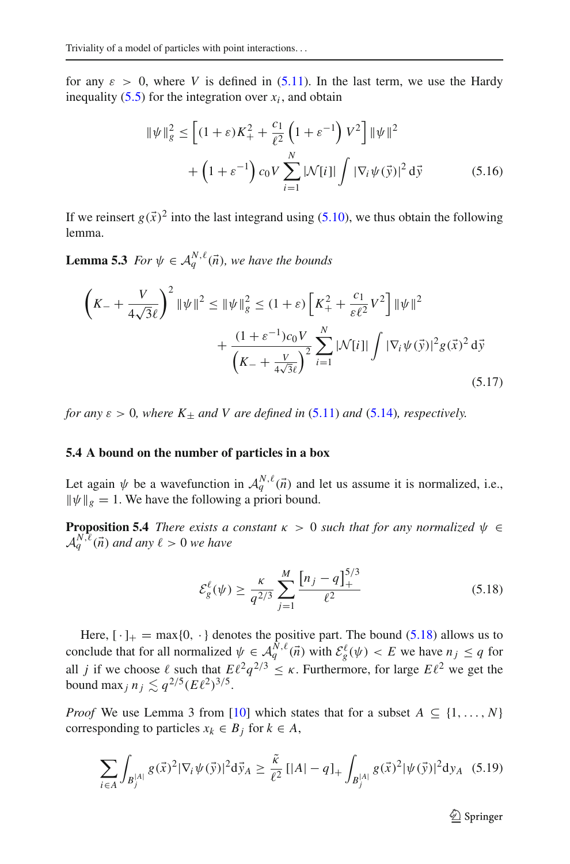for any  $\varepsilon > 0$ , where *V* is defined in [\(5.11\)](#page-9-1). In the last term, we use the Hardy inequality  $(5.5)$  for the integration over  $x_i$ , and obtain

$$
\|\psi\|_{g}^{2} \le \left[ (1+\varepsilon)K_{+}^{2} + \frac{c_{1}}{\ell^{2}} \left( 1 + \varepsilon^{-1} \right) V^{2} \right] \|\psi\|^{2} + \left( 1 + \varepsilon^{-1} \right) c_{0} V \sum_{i=1}^{N} |\mathcal{N}[i]| \int |\nabla_{i} \psi(\vec{y})|^{2} d\vec{y}
$$
 (5.16)

<span id="page-10-3"></span>If we reinsert  $g(\vec{x})^2$  into the last integrand using [\(5.10\)](#page-9-0), we thus obtain the following lemma.

**Lemma 5.3** *For*  $\psi \in A_q^{N,\ell}(\vec{n})$ *, we have the bounds* 

$$
\left(K_{-} + \frac{V}{4\sqrt{3}\ell}\right)^{2} \|\psi\|^{2} \le \|\psi\|_{g}^{2} \le (1+\varepsilon) \left[K_{+}^{2} + \frac{c_{1}}{\varepsilon\ell^{2}}V^{2}\right] \|\psi\|^{2} + \frac{(1+\varepsilon^{-1})c_{0}V}{\left(K_{-} + \frac{V}{4\sqrt{3}\ell}\right)^{2}} \sum_{i=1}^{N} |\mathcal{N}[i]| \int |\nabla_{i}\psi(\vec{y})|^{2} g(\vec{x})^{2} d\vec{y}
$$
\n(5.17)

*for any*  $\varepsilon > 0$ *, where*  $K_{+}$  *and* V *are defined in* [\(5.11\)](#page-9-1) *and* [\(5.14\)](#page-9-2)*, respectively.* 

### **5.4 A bound on the number of particles in a box**

<span id="page-10-0"></span>Let again  $\psi$  be a wavefunction in  $\mathcal{A}_q^{N,\ell}(\vec{n})$  and let us assume it is normalized, i.e.,  $\|\psi\|_{g} = 1$ . We have the following a priori bound.

**Proposition 5.4** *There exists a constant*  $\kappa > 0$  *such that for any normalized*  $\psi \in$  $A_q^{N,\ell}(\vec{n})$  and any  $\ell > 0$  we have

<span id="page-10-4"></span>
$$
\mathcal{E}_{g}^{\ell}(\psi) \ge \frac{\kappa}{q^{2/3}} \sum_{j=1}^{M} \frac{\left[n_j - q\right]_{+}^{5/3}}{\ell^2} \tag{5.18}
$$

<span id="page-10-1"></span>Here,  $[\cdot]_+ = \max\{0, \cdot\}$  denotes the positive part. The bound [\(5.18\)](#page-10-1) allows us to conclude that for all normalized  $\psi \in \mathcal{A}_q^{N,\ell}(\vec{n})$  with  $\mathcal{E}_g^{\ell}(\psi) < E$  we have  $n_j \le q$  for all *j* if we choose  $\ell$  such that  $E\ell^2 q^{2/3} \leq \kappa$ . Furthermore, for large  $E\ell^2$  we get the bound max<sub>*j*</sub>  $n_j \lesssim q^{2/5} (E \ell^2)^{3/5}$ .

<span id="page-10-2"></span>*Proof* We use Lemma 3 from [\[10\]](#page-19-15) which states that for a subset  $A \subseteq \{1, ..., N\}$ corresponding to particles  $x_k \in B_j$  for  $k \in A$ ,

$$
\sum_{i \in A} \int_{B_j^{|A|}} g(\vec{x})^2 |\nabla_i \psi(\vec{y})|^2 d\vec{y}_A \ge \frac{\tilde{\kappa}}{\ell^2} \left[ |A| - q \right]_+ \int_{B_j^{|A|}} g(\vec{x})^2 |\psi(\vec{y})|^2 d y_A \tag{5.19}
$$

 $\mathcal{D}$  Springer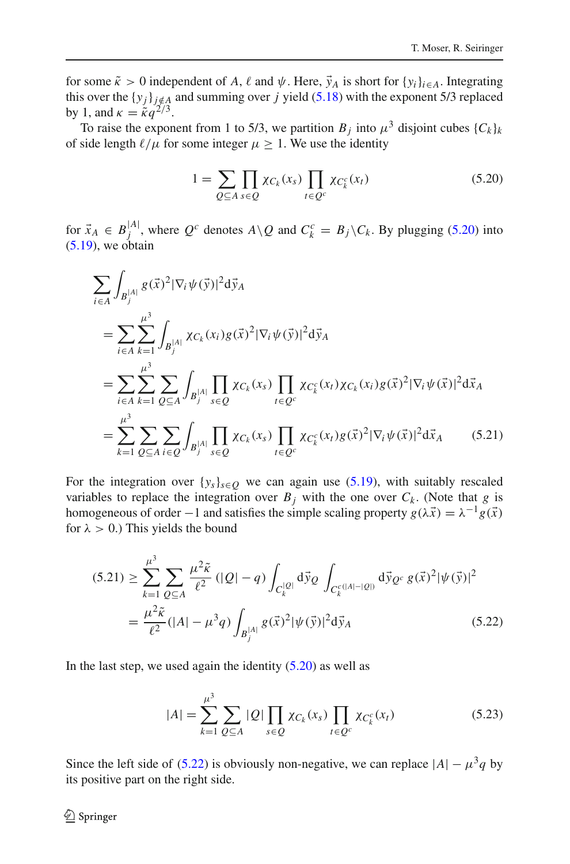for some  $\tilde{\kappa} > 0$  independent of *A*,  $\ell$  and  $\psi$ . Here,  $\vec{y}_A$  is short for  $\{y_i\}_{i \in A}$ . Integrating this over the  $\{y_i\}_{i \notin A}$  and summing over *j* yield [\(5.18\)](#page-10-1) with the exponent 5/3 replaced by 1, and  $\kappa = \kappa q^{2/3}$ .

To raise the exponent from 1 to 5/3, we partition  $B_j$  into  $\mu^3$  disjoint cubes  $\{C_k\}_k$ of side length  $\ell/\mu$  for some integer  $\mu \geq 1$ . We use the identity

$$
1 = \sum_{Q \subseteq A} \prod_{s \in Q} \chi_{C_k}(x_s) \prod_{t \in Q^c} \chi_{C_k^c}(x_t)
$$
\n(5.20)

<span id="page-11-0"></span>for  $\vec{x}_A \in B_j^{|A|}$ , where  $Q^c$  denotes  $A \setminus Q$  and  $C_k^c = B_j \setminus C_k$ . By plugging [\(5.20\)](#page-11-0) into  $(5.19)$ , we obtain

$$
\sum_{i \in A} \int_{B_j^{|A|}} g(\vec{x})^2 |\nabla_i \psi(\vec{y})|^2 d\vec{y}_A
$$
\n
$$
= \sum_{i \in A} \sum_{k=1}^{\mu^3} \int_{B_j^{|A|}} \chi_{C_k}(x_i) g(\vec{x})^2 |\nabla_i \psi(\vec{y})|^2 d\vec{y}_A
$$
\n
$$
= \sum_{i \in A} \sum_{k=1}^{\mu^3} \sum_{Q \subseteq A} \int_{B_j^{|A|}} \prod_{s \in Q} \chi_{C_k}(x_s) \prod_{t \in Q^c} \chi_{C_k^c}(x_t) \chi_{C_k}(x_i) g(\vec{x})^2 |\nabla_i \psi(\vec{x})|^2 d\vec{x}_A
$$
\n
$$
= \sum_{k=1}^{\mu^3} \sum_{Q \subseteq A} \sum_{i \in Q} \int_{B_j^{|A|}} \prod_{s \in Q} \chi_{C_k}(x_s) \prod_{t \in Q^c} \chi_{C_k^c}(x_t) g(\vec{x})^2 |\nabla_i \psi(\vec{x})|^2 d\vec{x}_A \qquad (5.21)
$$

For the integration over  $\{y_s\}_{s \in Q}$  we can again use [\(5.19\)](#page-10-2), with suitably rescaled variables to replace the integration over  $B_j$  with the one over  $C_k$ . (Note that *g* is homogeneous of order −1 and satisfies the simple scaling property  $g(\lambda \vec{x}) = \lambda^{-1} g(\vec{x})$ for  $\lambda > 0$ .) This yields the bound

<span id="page-11-1"></span>
$$
(5.21) \geq \sum_{k=1}^{\mu^3} \sum_{Q \subseteq A} \frac{\mu^2 \tilde{\kappa}}{\ell^2} (|Q| - q) \int_{C_k^{|Q|}} d\vec{y}_Q \int_{C_k^{c(|A| - |Q|)}} d\vec{y}_{Q^c} g(\vec{x})^2 |\psi(\vec{y})|^2
$$
  
= 
$$
\frac{\mu^2 \tilde{\kappa}}{\ell^2} (|A| - \mu^3 q) \int_{B_j^{|A|}} g(\vec{x})^2 |\psi(\vec{y})|^2 d\vec{y}_A
$$
 (5.22)

In the last step, we used again the identity  $(5.20)$  as well as

$$
|A| = \sum_{k=1}^{\mu^3} \sum_{Q \subseteq A} |Q| \prod_{s \in Q} \chi_{C_k}(x_s) \prod_{t \in Q^c} \chi_{C_k^c}(x_t)
$$
 (5.23)

Since the left side of [\(5.22\)](#page-11-1) is obviously non-negative, we can replace  $|A| - \mu^3 q$  by its positive part on the right side.

## $\bigcircled{2}$  Springer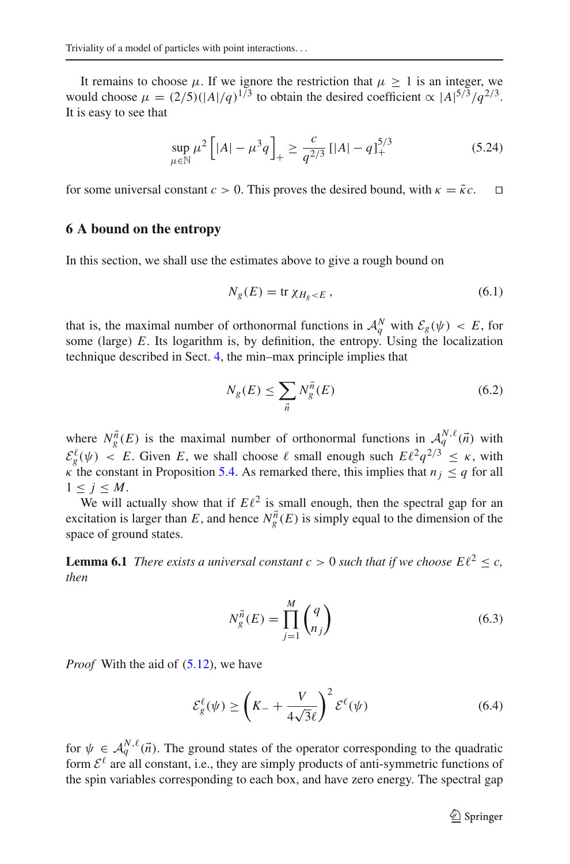It remains to choose  $\mu$ . If we ignore the restriction that  $\mu \geq 1$  is an integer, we would choose  $\mu = (2/5)(|A|/q)^{1/3}$  to obtain the desired coefficient  $\propto |A|^{5/3}/q^{2/3}$ . It is easy to see that

$$
\sup_{\mu \in \mathbb{N}} \mu^2 \left[ |A| - \mu^3 q \right]_+ \ge \frac{c}{q^{2/3}} \left[ |A| - q \right]_+^{5/3} \tag{5.24}
$$

for some universal constant  $c > 0$ . This proves the desired bound, with  $\kappa = \tilde{\kappa}c$ .  $\square$ 

### <span id="page-12-0"></span>**6 A bound on the entropy**

In this section, we shall use the estimates above to give a rough bound on

$$
N_g(E) = \text{tr}\,\chi_{H_g < E} \,,\tag{6.1}
$$

that is, the maximal number of orthonormal functions in  $\mathcal{A}_q^N$  with  $\mathcal{E}_g(\psi) < E$ , for some (large) *E*. Its logarithm is, by definition, the entropy. Using the localization technique described in Sect. [4,](#page-5-0) the min–max principle implies that

$$
N_g(E) \le \sum_{\vec{n}} N_g^{\vec{n}}(E) \tag{6.2}
$$

<span id="page-12-2"></span>where  $N_g^{\vec{n}}(E)$  is the maximal number of orthonormal functions in  $A_q^{N,\ell}(\vec{n})$  with  $\mathcal{E}^{\ell}_{g}(\psi) < E$ . Given *E*, we shall choose  $\ell$  small enough such  $E\ell^{2}q^{2/3} \leq \kappa$ , with  $\kappa$  the constant in Proposition [5.4.](#page-10-0) As remarked there, this implies that  $n_i < q$  for all  $1 \leq j \leq M$ .

We will actually show that if  $E\ell^2$  is small enough, then the spectral gap for an excitation is larger than *E*, and hence  $N_g^{\vec{n}}(E)$  is simply equal to the dimension of the space of ground states.

<span id="page-12-3"></span>**Lemma 6.1** *There exists a universal constant*  $c > 0$  *such that if we choose*  $E\ell^2 < c$ *, then*

$$
N_g^{\vec{n}}(E) = \prod_{j=1}^M \binom{q}{n_j} \tag{6.3}
$$

*Proof* With the aid of [\(5.12\)](#page-9-3), we have

$$
\mathcal{E}_{g}^{\ell}(\psi) \ge \left(K_{-} + \frac{V}{4\sqrt{3}\ell}\right)^{2} \mathcal{E}^{\ell}(\psi) \tag{6.4}
$$

<span id="page-12-1"></span>for  $\psi \in A_q^{N,\ell}(\vec{n})$ . The ground states of the operator corresponding to the quadratic form  $\mathcal{E}^{\ell}$  are all constant, i.e., they are simply products of anti-symmetric functions of the spin variables corresponding to each box, and have zero energy. The spectral gap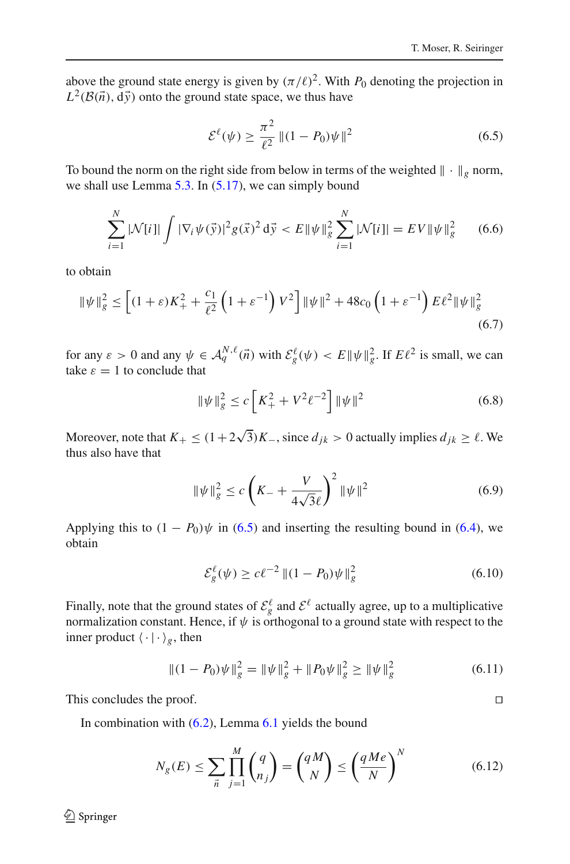above the ground state energy is given by  $(\pi/\ell)^2$ . With  $P_0$  denoting the projection in  $L^2(\mathcal{B}(\vec{n}), d\vec{y})$  onto the ground state space, we thus have

$$
\mathcal{E}^{\ell}(\psi) \ge \frac{\pi^2}{\ell^2} || (1 - P_0)\psi ||^2
$$
\n(6.5)

<span id="page-13-0"></span>To bound the norm on the right side from below in terms of the weighted  $\|\cdot\|_g$  norm, we shall use Lemma  $5.3$ . In  $(5.17)$ , we can simply bound

$$
\sum_{i=1}^{N} |\mathcal{N}[i]| \int |\nabla_i \psi(\vec{y})|^2 g(\vec{x})^2 d\vec{y} < E \| \psi \|_{g}^2 \sum_{i=1}^{N} |\mathcal{N}[i]| = EV \| \psi \|_{g}^2 \qquad (6.6)
$$

to obtain

$$
\|\psi\|_{g}^{2} \le \left[ (1+\varepsilon)K_{+}^{2} + \frac{c_{1}}{\ell^{2}} \left( 1+\varepsilon^{-1} \right) V^{2} \right] \|\psi\|^{2} + 48c_{0} \left( 1+\varepsilon^{-1} \right) E\ell^{2} \|\psi\|_{g}^{2}
$$
\n(6.7)

for any  $\varepsilon > 0$  and any  $\psi \in \mathcal{A}_q^{N,\ell}(\vec{n})$  with  $\mathcal{E}_g^{\ell}(\psi) < E \|\psi\|_g^2$ . If  $E\ell^2$  is small, we can take  $\varepsilon = 1$  to conclude that

$$
\|\psi\|_{g}^{2} \le c \left[ K_{+}^{2} + V^{2} \ell^{-2} \right] \|\psi\|^{2}
$$
\n(6.8)

Moreover, note that  $K_+ \leq (1 + 2\sqrt{3})K_-,$  since  $d_{jk} > 0$  actually implies  $d_{jk} \geq \ell$ . We thus also have that

$$
\|\psi\|_{g}^{2} \le c \left(K_{-} + \frac{V}{4\sqrt{3}\ell}\right)^{2} \|\psi\|^{2}
$$
\n(6.9)

Applying this to  $(1 - P_0)\psi$  in [\(6.5\)](#page-13-0) and inserting the resulting bound in [\(6.4\)](#page-12-1), we obtain

$$
\mathcal{E}_{g}^{\ell}(\psi) \ge c\ell^{-2} || (1 - P_0)\psi ||_g^2 \tag{6.10}
$$

Finally, note that the ground states of  $\mathcal{E}_{g}^{\ell}$  and  $\mathcal{E}^{\ell}$  actually agree, up to a multiplicative normalization constant. Hence, if  $\psi$  is orthogonal to a ground state with respect to the inner product  $\langle \cdot | \cdot \rangle_g$ , then

$$
\|(1 - P_0)\psi\|_g^2 = \|\psi\|_g^2 + \|P_0\psi\|_g^2 \ge \|\psi\|_g^2 \tag{6.11}
$$

This concludes the proof.

In combination with  $(6.2)$ , Lemma  $6.1$  yields the bound

$$
N_g(E) \le \sum_{\vec{n}} \prod_{j=1}^M {q \choose n_j} = {qM \choose N} \le \left(\frac{qMe}{N}\right)^N \tag{6.12}
$$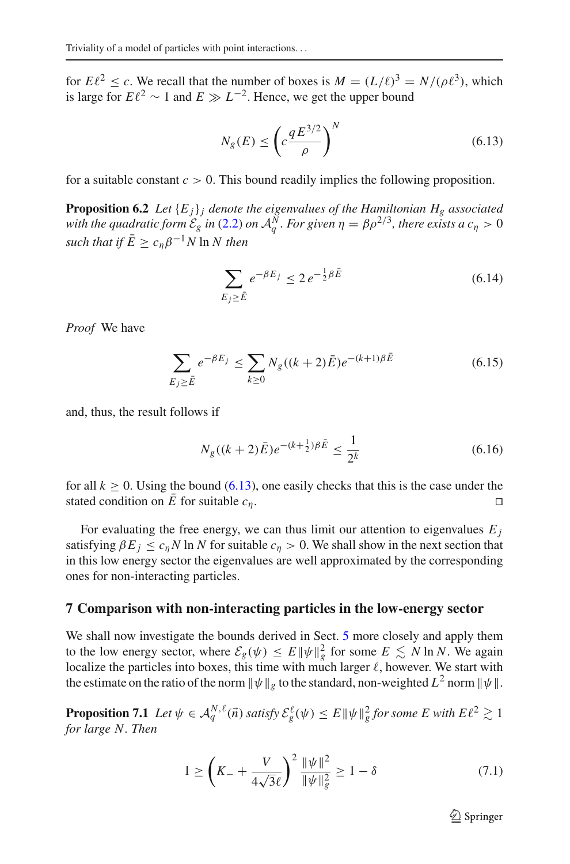for  $E\ell^2 \le c$ . We recall that the number of boxes is  $M = (L/\ell)^3 = N/(\rho \ell^3)$ , which is large for  $E\ell^2 \sim 1$  and  $E \gg L^{-2}$ . Hence, we get the upper bound

$$
N_g(E) \le \left(c \frac{q E^{3/2}}{\rho}\right)^N \tag{6.13}
$$

<span id="page-14-4"></span><span id="page-14-1"></span>for a suitable constant  $c > 0$ . This bound readily implies the following proposition.

**Proposition 6.2** *Let*  ${E_i}$ *j denote the eigenvalues of the Hamiltonian*  $H_g$  *associated with the quadratic form*  $\mathcal{E}_g$  *in* [\(2.2\)](#page-2-0) *on*  $\mathcal{A}_q^N$ *. For given*  $\eta = \beta \rho^{2/3}$ *, there exists a*  $c_\eta > 0$ *such that if*  $\bar{E} \geq c_n \beta^{-1} N \ln N$  *then* 

$$
\sum_{E_j \ge \bar{E}} e^{-\beta E_j} \le 2 e^{-\frac{1}{2}\beta \bar{E}} \tag{6.14}
$$

*Proof* We have

$$
\sum_{E_j \ge \bar{E}} e^{-\beta E_j} \le \sum_{k \ge 0} N_g((k+2)\bar{E}) e^{-(k+1)\beta \bar{E}}
$$
(6.15)

and, thus, the result follows if

$$
N_g((k+2)\bar{E})e^{-(k+\frac{1}{2})\beta\bar{E}} \le \frac{1}{2^k} \tag{6.16}
$$

for all  $k \ge 0$ . Using the bound [\(6.13\)](#page-14-1), one easily checks that this is the case under the stated condition on  $\overline{E}$  for suitable  $C_2$ . stated condition on *E* for suitable  $c_n$ .

For evaluating the free energy, we can thus limit our attention to eigenvalues  $E_i$ satisfying  $\beta E_j \leq c_n N \ln N$  for suitable  $c_n > 0$ . We shall show in the next section that in this low energy sector the eigenvalues are well approximated by the corresponding ones for non-interacting particles.

### <span id="page-14-0"></span>**7 Comparison with non-interacting particles in the low-energy sector**

We shall now investigate the bounds derived in Sect. [5](#page-6-0) more closely and apply them to the low energy sector, where  $\mathcal{E}_g(\psi) \leq E \|\psi\|_g^2$  for some  $E \leq N \ln N$ . We again localize the particles into boxes, this time with much larger  $\ell$ , however. We start with the estimate on the ratio of the norm  $\|\psi\|_{g}$  to the standard, non-weighted  $L^{2}$  norm  $\|\psi\|$ .

<span id="page-14-3"></span><span id="page-14-2"></span>**Proposition 7.1** *Let*  $\psi \in \mathcal{A}_q^{N,\ell}(\vec{n})$  *satisfy*  $\mathcal{E}_g^{\ell}(\psi) \leq E \|\psi\|_g^2$  *for some E with*  $E\ell^2 \gtrsim 1$ *for large N. Then*

$$
1 \ge \left( K_- + \frac{V}{4\sqrt{3}\ell} \right)^2 \frac{\|\psi\|^2}{\|\psi\|^2_g} \ge 1 - \delta \tag{7.1}
$$

 $\mathcal{D}$  Springer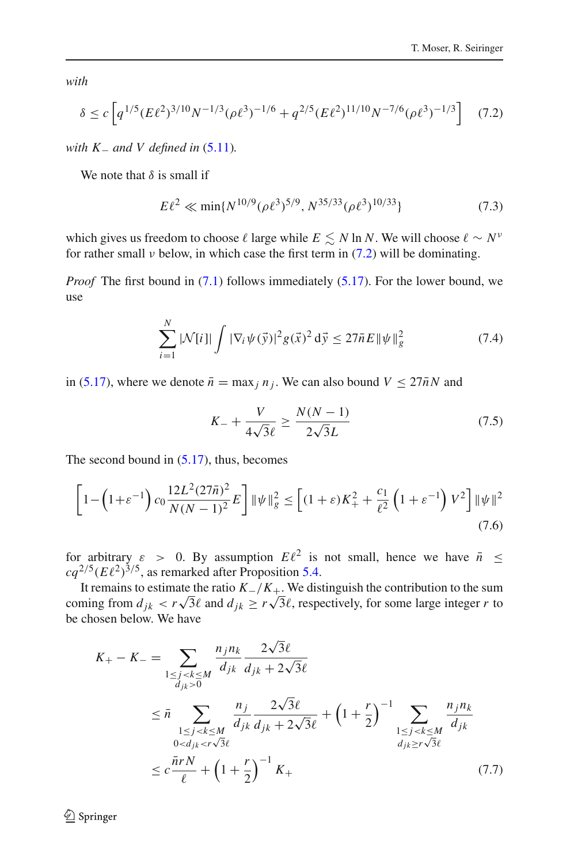<span id="page-15-0"></span>*with*

$$
\delta \le c \left[ q^{1/5} (E\ell^2)^{3/10} N^{-1/3} (\rho \ell^3)^{-1/6} + q^{2/5} (E\ell^2)^{11/10} N^{-7/6} (\rho \ell^3)^{-1/3} \right] \tag{7.2}
$$

*with K \_ and V defined in* [\(5.11\)](#page-9-1)*.* 

We note that  $\delta$  is small if

$$
E\ell^2 \ll \min\{N^{10/9}(\rho\ell^3)^{5/9}, N^{35/33}(\rho\ell^3)^{10/33}\}\tag{7.3}
$$

which gives us freedom to choose  $\ell$  large while  $E \leq N \ln N$ . We will choose  $\ell \sim N^{\nu}$ for rather small *v* below, in which case the first term in  $(7.2)$  will be dominating.

*Proof* The first bound in [\(7.1\)](#page-14-2) follows immediately [\(5.17\)](#page-10-4). For the lower bound, we use

$$
\sum_{i=1}^{N} |\mathcal{N}[i]| \int |\nabla_i \psi(\vec{y})|^2 g(\vec{x})^2 d\vec{y} \le 27 \bar{n} E \|\psi\|_g^2 \tag{7.4}
$$

in [\(5.17\)](#page-10-4), where we denote  $\bar{n} = \max_j n_j$ . We can also bound  $V \le 27 \bar{n} N$  and

$$
K_{-} + \frac{V}{4\sqrt{3}\ell} \ge \frac{N(N-1)}{2\sqrt{3}L}
$$
 (7.5)

The second bound in  $(5.17)$ , thus, becomes

$$
\left[1 - \left(1 + \varepsilon^{-1}\right)c_0 \frac{12L^2 (27\bar{n})^2}{N(N-1)^2} E\right] \|\psi\|_{g}^2 \le \left[(1+\varepsilon)K_+^2 + \frac{c_1}{\ell^2} \left(1 + \varepsilon^{-1}\right) V^2\right] \|\psi\|^2
$$
\n(7.6)

for arbitrary  $\varepsilon > 0$ . By assumption  $E\ell^2$  is not small, hence we have  $\bar{n} \leq$  $ca^{2/5}$  $(E\ell^2)^{3/5}$ , as remarked after Proposition [5.4.](#page-10-0)

It remains to estimate the ratio  $K_{-}/K_{+}$ . We distinguish the contribution to the sum coming from  $d_{jk} < r\sqrt{3}\ell$  and  $d_{jk} \ge r\sqrt{3}\ell$ , respectively, for some large integer *r* to be chosen below. We have

$$
K_{+} - K_{-} = \sum_{\substack{1 \le j < k \le M \\ d_{jk} > 0}} \frac{n_{j}n_{k}}{d_{jk}} \frac{2\sqrt{3}\ell}{d_{jk} + 2\sqrt{3}\ell}
$$
\n
$$
\leq \bar{n} \sum_{\substack{1 \le j < k \le M \\ 0 < d_{jk} < r\sqrt{3}\ell}} \frac{n_{j}}{d_{jk}} \frac{2\sqrt{3}\ell}{d_{jk} + 2\sqrt{3}\ell} + \left(1 + \frac{r}{2}\right)^{-1} \sum_{\substack{1 \le j < k \le M \\ d_{jk} \ge r\sqrt{3}\ell}} \frac{n_{j}n_{k}}{d_{jk}}
$$
\n
$$
\leq c \frac{\bar{n}rN}{\ell} + \left(1 + \frac{r}{2}\right)^{-1} K_{+} \tag{7.7}
$$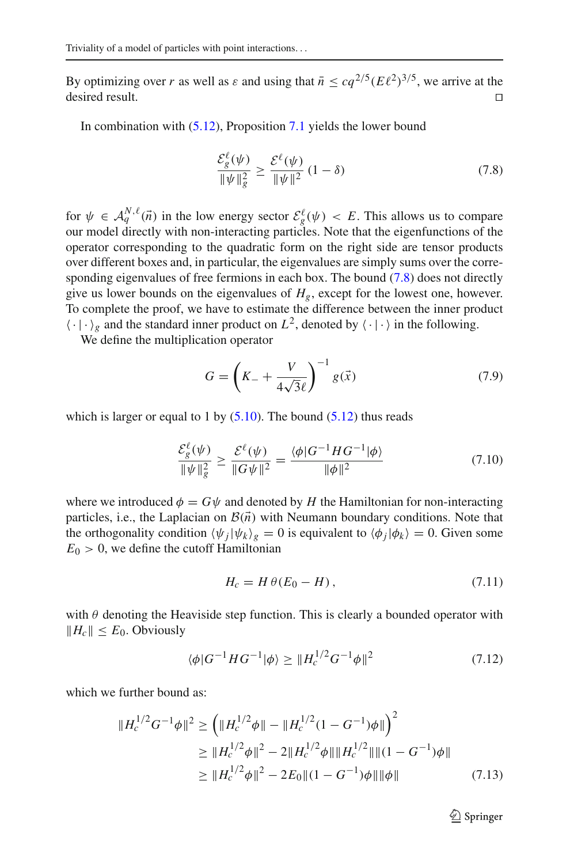By optimizing over *r* as well as  $\varepsilon$  and using that  $\bar{n} \leq cq^{2/5}(E\ell^2)^{3/5}$ , we arrive at the desired result. desired result.  $\Box$ 

<span id="page-16-0"></span>In combination with [\(5.12\)](#page-9-3), Proposition [7.1](#page-14-3) yields the lower bound

$$
\frac{\mathcal{E}_{g}^{\ell}(\psi)}{\|\psi\|_{g}^{2}} \ge \frac{\mathcal{E}^{\ell}(\psi)}{\|\psi\|^{2}} (1 - \delta)
$$
\n(7.8)

for  $\psi \in A_q^{N,\ell}(\vec{n})$  in the low energy sector  $\mathcal{E}_g^{\ell}(\psi) < E$ . This allows us to compare our model directly with non-interacting particles. Note that the eigenfunctions of the operator corresponding to the quadratic form on the right side are tensor products over different boxes and, in particular, the eigenvalues are simply sums over the corresponding eigenvalues of free fermions in each box. The bound  $(7.8)$  does not directly give us lower bounds on the eigenvalues of  $H<sub>g</sub>$ , except for the lowest one, however. To complete the proof, we have to estimate the difference between the inner product  $\langle \cdot | \cdot \rangle_g$  and the standard inner product on  $L^2$ , denoted by  $\langle \cdot | \cdot \rangle$  in the following.

We define the multiplication operator

$$
G = \left(K_{-} + \frac{V}{4\sqrt{3}\ell}\right)^{-1} g(\vec{x})
$$
\n(7.9)

which is larger or equal to 1 by  $(5.10)$ . The bound  $(5.12)$  thus reads

$$
\frac{\mathcal{E}_{g}^{\ell}(\psi)}{\|\psi\|_{g}^{2}} \ge \frac{\mathcal{E}^{\ell}(\psi)}{\|G\psi\|^{2}} = \frac{\langle \phi|G^{-1}HG^{-1}|\phi\rangle}{\|\phi\|^{2}}
$$
(7.10)

where we introduced  $\phi = G\psi$  and denoted by *H* the Hamiltonian for non-interacting particles, i.e., the Laplacian on  $\mathcal{B}(\vec{n})$  with Neumann boundary conditions. Note that the orthogonality condition  $\langle \psi_j | \psi_k \rangle_g = 0$  is equivalent to  $\langle \phi_j | \phi_k \rangle = 0$ . Given some  $E_0 > 0$ , we define the cutoff Hamiltonian

$$
H_c = H \theta (E_0 - H), \qquad (7.11)
$$

with  $\theta$  denoting the Heaviside step function. This is clearly a bounded operator with  $||H_c|| \leq E_0$ . Obviously

$$
\langle \phi | G^{-1} H G^{-1} | \phi \rangle \geq \| H_c^{1/2} G^{-1} \phi \|^2 \tag{7.12}
$$

which we further bound as:

$$
||H_c^{1/2}G^{-1}\phi||^2 \ge \left(||H_c^{1/2}\phi|| - ||H_c^{1/2}(1 - G^{-1})\phi||\right)^2
$$
  
\n
$$
\ge ||H_c^{1/2}\phi||^2 - 2||H_c^{1/2}\phi|| ||H_c^{1/2}|| ||(1 - G^{-1})\phi||
$$
  
\n
$$
\ge ||H_c^{1/2}\phi||^2 - 2E_0 ||(1 - G^{-1})\phi|| ||\phi||
$$
 (7.13)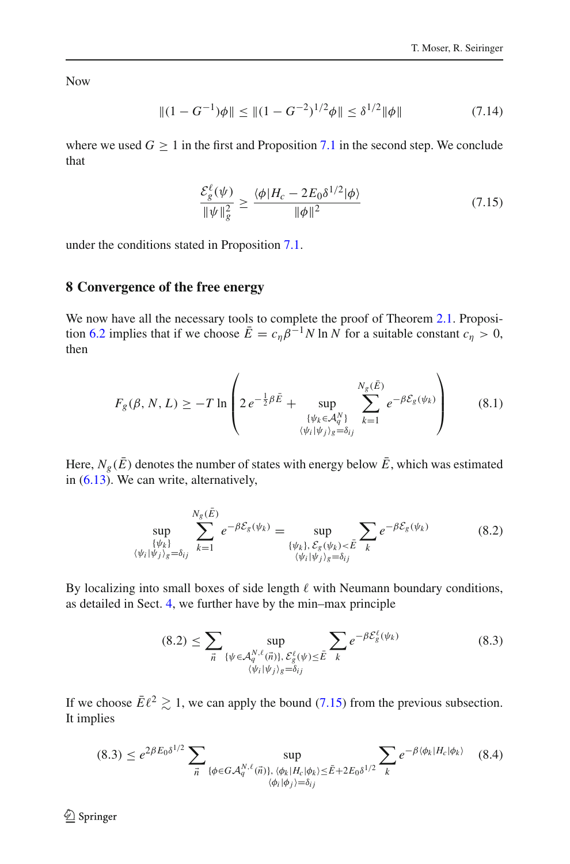Now

$$
\|(1 - G^{-1})\phi\| \le \|(1 - G^{-2})^{1/2}\phi\| \le \delta^{1/2}\|\phi\| \tag{7.14}
$$

where we used  $G \geq 1$  in the first and Proposition [7.1](#page-14-3) in the second step. We conclude that

$$
\frac{\mathcal{E}_g^{\ell}(\psi)}{\|\psi\|_{g}^2} \ge \frac{\langle \phi | H_c - 2E_0 \delta^{1/2} | \phi \rangle}{\|\phi\|^2} \tag{7.15}
$$

<span id="page-17-1"></span>under the conditions stated in Proposition [7.1.](#page-14-3)

## <span id="page-17-0"></span>**8 Convergence of the free energy**

We now have all the necessary tools to complete the proof of Theorem [2.1.](#page-3-0) Proposi-tion [6.2](#page-14-4) implies that if we choose  $\bar{E} = c_{\eta} \beta^{-1} N \ln N$  for a suitable constant  $c_{\eta} > 0$ , then

$$
F_g(\beta, N, L) \ge -T \ln \left( 2e^{-\frac{1}{2}\beta \tilde{E}} + \sup_{\substack{\{\psi_k \in \mathcal{A}_q^N\} \\ \langle \psi_i | \psi_j \rangle_g = \delta_{ij}}} \sum_{k=1}^{N_g(\tilde{E})} e^{-\beta \mathcal{E}_g(\psi_k)} \right) \tag{8.1}
$$

<span id="page-17-3"></span>Here,  $N_g(\bar{E})$  denotes the number of states with energy below  $\bar{E}$ , which was estimated in [\(6.13\)](#page-14-1). We can write, alternatively,

$$
\sup_{\{\psi_k\}\atop{\langle\psi_i|\psi_j\rangle_g=\delta_{ij}}}\sum_{k=1}^{N_g(\tilde{E})}e^{-\beta \mathcal{E}_g(\psi_k)}=\sup_{\{\psi_k\},\mathcal{E}_g(\psi_k)<\tilde{E}}\sum_k e^{-\beta \mathcal{E}_g(\psi_k)}\tag{8.2}
$$

By localizing into small boxes of side length  $\ell$  with Neumann boundary conditions, as detailed in Sect. [4,](#page-5-0) we further have by the min–max principle

$$
(8.2) \leq \sum_{\vec{n}} \sup_{\{\psi \in \mathcal{A}_q^{N,\ell}(\vec{n})\}, \mathcal{E}_g^{\ell}(\psi) \leq \bar{E}} \sum_{k} e^{-\beta \mathcal{E}_g^{\ell}(\psi_k)} \tag{8.3}
$$

<span id="page-17-2"></span>If we choose  $\bar{E}\ell^2 \gtrsim 1$ , we can apply the bound [\(7.15\)](#page-17-1) from the previous subsection. It implies

$$
(8.3) \leq e^{2\beta E_0 \delta^{1/2}} \sum_{\vec{n}} \sup_{\{\phi \in GA_q^{N,\ell}(\vec{n})\}, \ \langle \phi_k | H_c | \phi_k \rangle \leq \bar{E} + 2E_0 \delta^{1/2}} \sum_k e^{-\beta \langle \phi_k | H_c | \phi_k \rangle} \tag{8.4}
$$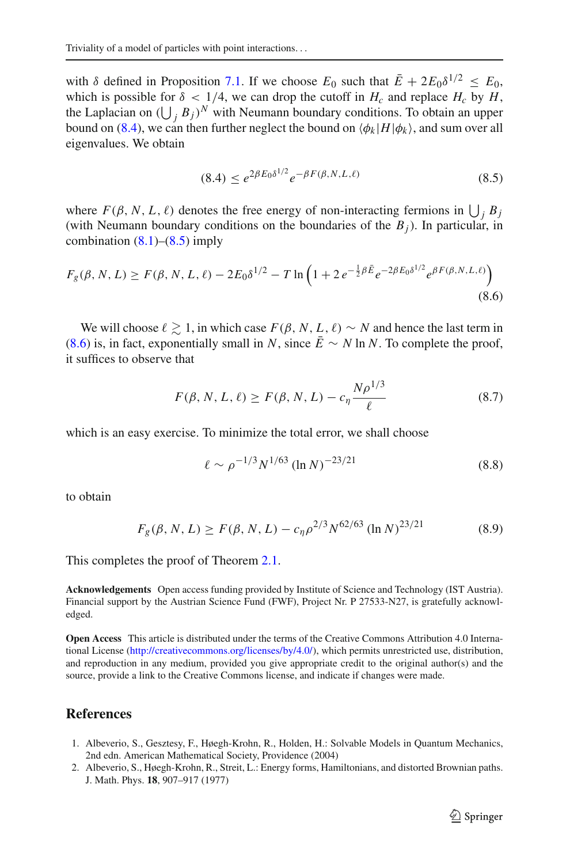with  $\delta$  defined in Proposition [7.1.](#page-14-3) If we choose  $E_0$  such that  $\bar{E} + 2E_0 \delta^{1/2} \leq E_0$ , which is possible for  $\delta$  < 1/4, we can drop the cutoff in  $H_c$  and replace  $H_c$  by  $H$ , the Laplacian on  $(\bigcup_j B_j)^N$  with Neumann boundary conditions. To obtain an upper bound on [\(8.4\)](#page-17-2), we can then further neglect the bound on  $\langle \phi_k | H | \phi_k \rangle$ , and sum over all eigenvalues. We obtain

$$
(8.4) \le e^{2\beta E_0 \delta^{1/2}} e^{-\beta F(\beta, N, L, \ell)} \tag{8.5}
$$

<span id="page-18-2"></span>where  $F(\beta, N, L, \ell)$  denotes the free energy of non-interacting fermions in  $\bigcup_j B_j$ (with Neumann boundary conditions on the boundaries of the  $B_j$ ). In particular, in combination  $(8.1)$ – $(8.5)$  imply

<span id="page-18-3"></span>
$$
F_g(\beta, N, L) \ge F(\beta, N, L, \ell) - 2E_0 \delta^{1/2} - T \ln \left( 1 + 2 e^{-\frac{1}{2}\beta \bar{E}} e^{-2\beta E_0 \delta^{1/2}} e^{\beta F(\beta, N, L, \ell)} \right)
$$
(8.6)

We will choose  $\ell \geq 1$ , in which case  $F(\beta, N, L, \ell) \sim N$  and hence the last term in [\(8.6\)](#page-18-3) is, in fact, exponentially small in *N*, since  $\bar{E} \sim N \ln N$ . To complete the proof, it suffices to observe that

$$
F(\beta, N, L, \ell) \ge F(\beta, N, L) - c_{\eta} \frac{N \rho^{1/3}}{\ell}
$$
 (8.7)

which is an easy exercise. To minimize the total error, we shall choose

$$
\ell \sim \rho^{-1/3} N^{1/63} (\ln N)^{-23/21} \tag{8.8}
$$

to obtain

$$
F_g(\beta, N, L) \ge F(\beta, N, L) - c_\eta \rho^{2/3} N^{62/63} (\ln N)^{23/21}
$$
 (8.9)

This completes the proof of Theorem [2.1.](#page-3-0)

**Acknowledgements** Open access funding provided by Institute of Science and Technology (IST Austria). Financial support by the Austrian Science Fund (FWF), Project Nr. P 27533-N27, is gratefully acknowledged.

**Open Access** This article is distributed under the terms of the Creative Commons Attribution 4.0 International License [\(http://creativecommons.org/licenses/by/4.0/\)](http://creativecommons.org/licenses/by/4.0/), which permits unrestricted use, distribution, and reproduction in any medium, provided you give appropriate credit to the original author(s) and the source, provide a link to the Creative Commons license, and indicate if changes were made.

### **References**

- <span id="page-18-0"></span>1. Albeverio, S., Gesztesy, F., Høegh-Krohn, R., Holden, H.: Solvable Models in Quantum Mechanics, 2nd edn. American Mathematical Society, Providence (2004)
- <span id="page-18-1"></span>2. Albeverio, S., Høegh-Krohn, R., Streit, L.: Energy forms, Hamiltonians, and distorted Brownian paths. J. Math. Phys. **18**, 907–917 (1977)